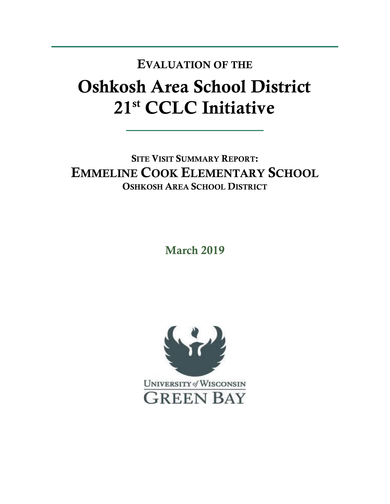## Oshkosh Area School District 21st CCLC Initiative EVALUATION OF THE

SITE VISIT SUMMARY REPORT: EMMELINE COOK ELEMENTARY SCHOOL OSHKOSH AREA SCHOOL DISTRICT

March 2019

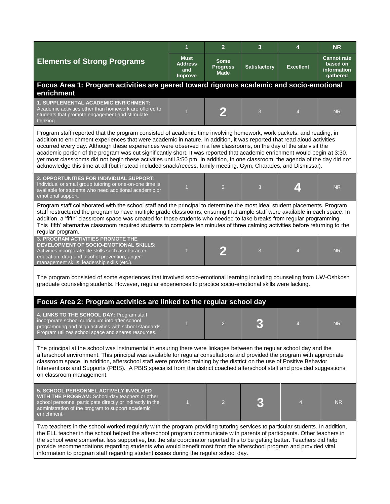|                                                                                                                                                                                                                                                                                                                                                                                                                                                                                                                                                                                                                                                                                                                                                           | $\mathbf{1}$                                    | $\overline{2}$                         | 3                   | 4                        | <b>NR</b>                                                        |  |  |  |
|-----------------------------------------------------------------------------------------------------------------------------------------------------------------------------------------------------------------------------------------------------------------------------------------------------------------------------------------------------------------------------------------------------------------------------------------------------------------------------------------------------------------------------------------------------------------------------------------------------------------------------------------------------------------------------------------------------------------------------------------------------------|-------------------------------------------------|----------------------------------------|---------------------|--------------------------|------------------------------------------------------------------|--|--|--|
| <b>Elements of Strong Programs</b>                                                                                                                                                                                                                                                                                                                                                                                                                                                                                                                                                                                                                                                                                                                        | <b>Must</b><br><b>Address</b><br>and<br>Improve | Some<br><b>Progress</b><br><b>Made</b> | <b>Satisfactory</b> | <b>Excellent</b>         | <b>Cannot rate</b><br>based on<br><b>information</b><br>gathered |  |  |  |
| Focus Area 1: Program activities are geared toward rigorous academic and socio-emotional<br>enrichment                                                                                                                                                                                                                                                                                                                                                                                                                                                                                                                                                                                                                                                    |                                                 |                                        |                     |                          |                                                                  |  |  |  |
| 1. SUPPLEMENTAL ACADEMIC ENRICHMENT:<br>Academic activities other than homework are offered to<br>students that promote engagement and stimulate<br>thinking.                                                                                                                                                                                                                                                                                                                                                                                                                                                                                                                                                                                             |                                                 |                                        | 3                   | $\overline{\mathcal{A}}$ | <b>NR</b>                                                        |  |  |  |
| Program staff reported that the program consisted of academic time involving homework, work packets, and reading, in<br>addition to enrichment experiences that were academic in nature. In addition, it was reported that read aloud activities<br>occurred every day. Although these experiences were observed in a few classrooms, on the day of the site visit the<br>academic portion of the program was cut significantly short. It was reported that academic enrichment would begin at 3:30,<br>yet most classrooms did not begin these activities until 3:50 pm. In addition, in one classroom, the agenda of the day did not<br>acknowledge this time at all (but instead included snack/recess, family meeting, Gym, Charades, and Dismissal). |                                                 |                                        |                     |                          |                                                                  |  |  |  |
| 2. OPPORTUNITIES FOR INDIVIDUAL SUPPORT:<br>Individual or small group tutoring or one-on-one time is<br>available for students who need additional academic or<br>emotional support.                                                                                                                                                                                                                                                                                                                                                                                                                                                                                                                                                                      | $\overline{1}$                                  | $\overline{2}$                         | 3                   |                          | <b>NR</b>                                                        |  |  |  |
| Program staff collaborated with the school staff and the principal to determine the most ideal student placements. Program<br>staff restructured the program to have multiple grade classrooms, ensuring that ample staff were available in each space. In<br>addition, a 'fifth' classroom space was created for those students who needed to take breaks from regular programming.<br>This 'fifth' alternative classroom required students to complete ten minutes of three calming activities before returning to the<br>regular program.                                                                                                                                                                                                              |                                                 |                                        |                     |                          |                                                                  |  |  |  |
| <b>3. PROGRAM ACTIVITIES PROMOTE THE</b><br>DEVELOPMENT OF SOCIO-EMOTIONAL SKILLS:<br>Activities incorporate life-skills such as character<br>education, drug and alcohol prevention, anger<br>management skills, leadership skills (etc.).                                                                                                                                                                                                                                                                                                                                                                                                                                                                                                               | $\overline{1}$                                  | 2                                      | 3                   | $\overline{4}$           | <b>NR</b>                                                        |  |  |  |
| The program consisted of some experiences that involved socio-emotional learning including counseling from UW-Oshkosh<br>graduate counseling students. However, regular experiences to practice socio-emotional skills were lacking.                                                                                                                                                                                                                                                                                                                                                                                                                                                                                                                      |                                                 |                                        |                     |                          |                                                                  |  |  |  |
| Focus Area 2: Program activities are linked to the regular school day                                                                                                                                                                                                                                                                                                                                                                                                                                                                                                                                                                                                                                                                                     |                                                 |                                        |                     |                          |                                                                  |  |  |  |
| 4. LINKS TO THE SCHOOL DAY: Program staff<br>incorporate school curriculum into after school<br>programming and align activities with school standards.<br>Program utilizes school space and shares resources.                                                                                                                                                                                                                                                                                                                                                                                                                                                                                                                                            |                                                 |                                        |                     |                          | <b>NR</b>                                                        |  |  |  |
| The principal at the school was instrumental in ensuring there were linkages between the regular school day and the<br>afterschool environment. This principal was available for regular consultations and provided the program with appropriate<br>classroom space. In addition, afterschool staff were provided training by the district on the use of Positive Behavior<br>Interventions and Supports (PBIS). A PBIS specialist from the district coached afterschool staff and provided suggestions<br>on classroom management.                                                                                                                                                                                                                       |                                                 |                                        |                     |                          |                                                                  |  |  |  |
| <b>5. SCHOOL PERSONNEL ACTIVELY INVOLVED</b><br>WITH THE PROGRAM: School-day teachers or other<br>school personnel participate directly or indirectly in the<br>administration of the program to support academic<br>enrichment.                                                                                                                                                                                                                                                                                                                                                                                                                                                                                                                          |                                                 | $\overline{2}$                         |                     |                          | <b>NR</b>                                                        |  |  |  |
| Two teachers in the school worked regularly with the program providing tutoring services to particular students. In addition,<br>the ELL teacher in the school helped the afterschool program communicate with parents of participants. Other teachers in<br>the school were somewhat less supportive, but the site coordinator reported this to be getting better. Teachers did help<br>provide recommendations regarding students who would benefit most from the afterschool program and provided vital<br>information to program staff regarding student issues during the regular school day.                                                                                                                                                        |                                                 |                                        |                     |                          |                                                                  |  |  |  |